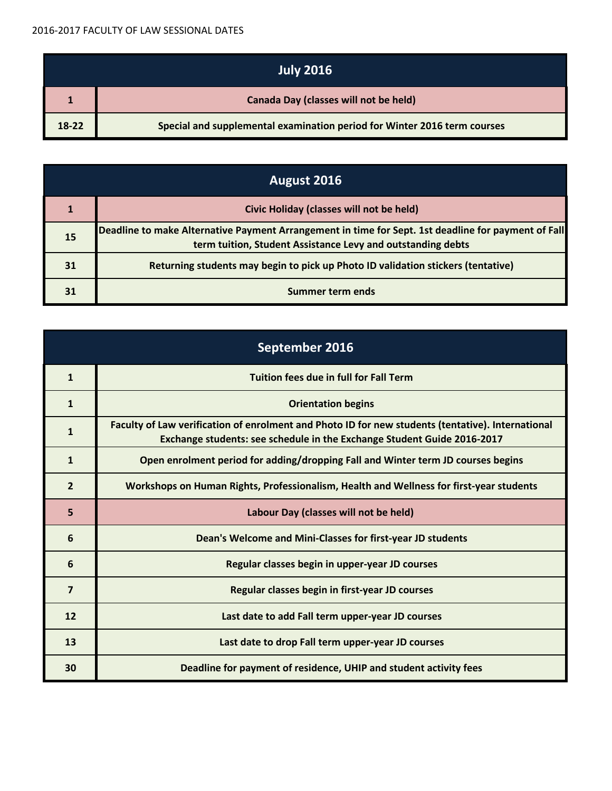| <b>July 2016</b> |                                                                          |
|------------------|--------------------------------------------------------------------------|
|                  | <b>Canada Day (classes will not be held)</b>                             |
| 18-22            | Special and supplemental examination period for Winter 2016 term courses |

| August 2016 |                                                                                                                                                                    |
|-------------|--------------------------------------------------------------------------------------------------------------------------------------------------------------------|
|             | Civic Holiday (classes will not be held)                                                                                                                           |
| 15          | Deadline to make Alternative Payment Arrangement in time for Sept. 1st deadline for payment of Fall<br>term tuition, Student Assistance Levy and outstanding debts |
| 31          | Returning students may begin to pick up Photo ID validation stickers (tentative)                                                                                   |
| 31          | Summer term ends                                                                                                                                                   |

| September 2016 |                                                                                                                                                                              |
|----------------|------------------------------------------------------------------------------------------------------------------------------------------------------------------------------|
| $\mathbf{1}$   | <b>Tuition fees due in full for Fall Term</b>                                                                                                                                |
| $\mathbf{1}$   | <b>Orientation begins</b>                                                                                                                                                    |
| 1              | Faculty of Law verification of enrolment and Photo ID for new students (tentative). International<br>Exchange students: see schedule in the Exchange Student Guide 2016-2017 |
| $\mathbf{1}$   | Open enrolment period for adding/dropping Fall and Winter term JD courses begins                                                                                             |
| $\overline{2}$ | Workshops on Human Rights, Professionalism, Health and Wellness for first-year students                                                                                      |
| 5              | Labour Day (classes will not be held)                                                                                                                                        |
| 6              | Dean's Welcome and Mini-Classes for first-year JD students                                                                                                                   |
| 6              | Regular classes begin in upper-year JD courses                                                                                                                               |
| $\overline{7}$ | Regular classes begin in first-year JD courses                                                                                                                               |
| $12$           | Last date to add Fall term upper-year JD courses                                                                                                                             |
| 13             | Last date to drop Fall term upper-year JD courses                                                                                                                            |
| 30             | Deadline for payment of residence, UHIP and student activity fees                                                                                                            |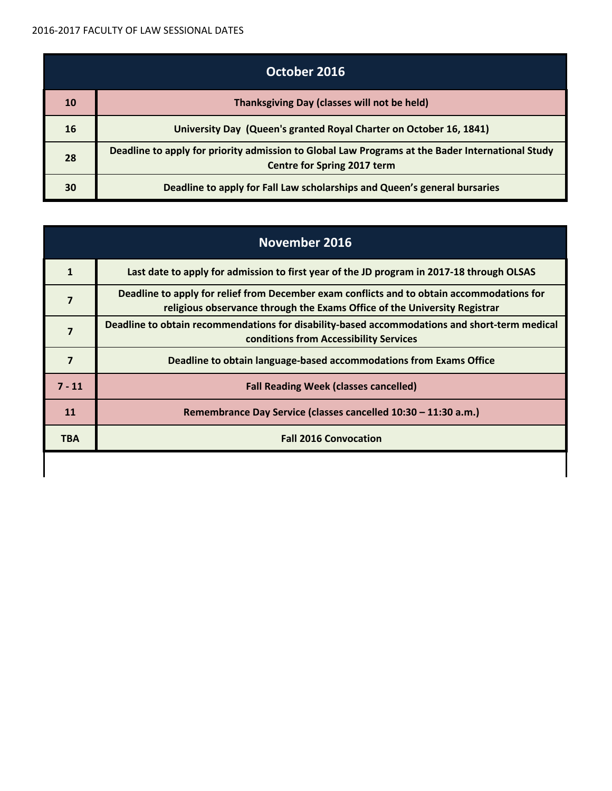| October 2016 |                                                                                                                                        |
|--------------|----------------------------------------------------------------------------------------------------------------------------------------|
| 10           | Thanksgiving Day (classes will not be held)                                                                                            |
| 16           | University Day (Queen's granted Royal Charter on October 16, 1841)                                                                     |
| 28           | Deadline to apply for priority admission to Global Law Programs at the Bader International Study<br><b>Centre for Spring 2017 term</b> |
| 30           | Deadline to apply for Fall Law scholarships and Queen's general bursaries                                                              |

|                | November 2016                                                                                                                                                           |  |
|----------------|-------------------------------------------------------------------------------------------------------------------------------------------------------------------------|--|
| 1              | Last date to apply for admission to first year of the JD program in 2017-18 through OLSAS                                                                               |  |
| $\overline{7}$ | Deadline to apply for relief from December exam conflicts and to obtain accommodations for<br>religious observance through the Exams Office of the University Registrar |  |
| 7              | Deadline to obtain recommendations for disability-based accommodations and short-term medical<br>conditions from Accessibility Services                                 |  |
| 7              | Deadline to obtain language-based accommodations from Exams Office                                                                                                      |  |
| $7 - 11$       | <b>Fall Reading Week (classes cancelled)</b>                                                                                                                            |  |
| 11             | Remembrance Day Service (classes cancelled 10:30 - 11:30 a.m.)                                                                                                          |  |
| <b>TBA</b>     | <b>Fall 2016 Convocation</b>                                                                                                                                            |  |
|                |                                                                                                                                                                         |  |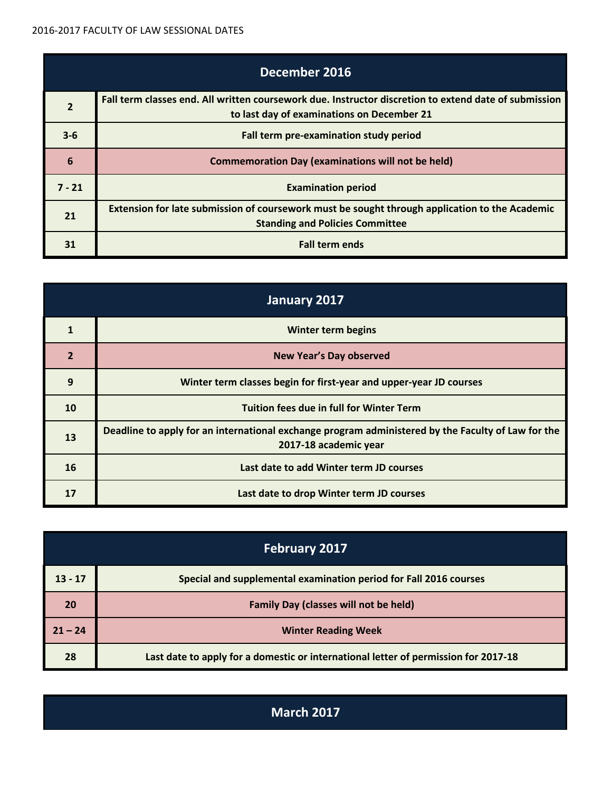|                | December 2016                                                                                                                                       |  |
|----------------|-----------------------------------------------------------------------------------------------------------------------------------------------------|--|
| $\overline{2}$ | Fall term classes end. All written coursework due. Instructor discretion to extend date of submission<br>to last day of examinations on December 21 |  |
| $3 - 6$        | Fall term pre-examination study period                                                                                                              |  |
| 6              | <b>Commemoration Day (examinations will not be held)</b>                                                                                            |  |
| $7 - 21$       | <b>Examination period</b>                                                                                                                           |  |
| 21             | Extension for late submission of coursework must be sought through application to the Academic<br><b>Standing and Policies Committee</b>            |  |
|                | <b>Fall term ends</b>                                                                                                                               |  |

| January 2017   |                                                                                                                             |
|----------------|-----------------------------------------------------------------------------------------------------------------------------|
| 1              | <b>Winter term begins</b>                                                                                                   |
| $\overline{2}$ | <b>New Year's Day observed</b>                                                                                              |
| 9              | Winter term classes begin for first-year and upper-year JD courses                                                          |
| 10             | <b>Tuition fees due in full for Winter Term</b>                                                                             |
| 13             | Deadline to apply for an international exchange program administered by the Faculty of Law for the<br>2017-18 academic year |
| 16             | Last date to add Winter term JD courses                                                                                     |
| 17             | Last date to drop Winter term JD courses                                                                                    |

| <b>February 2017</b> |                                                                                     |
|----------------------|-------------------------------------------------------------------------------------|
| $13 - 17$            | Special and supplemental examination period for Fall 2016 courses                   |
| 20                   | <b>Family Day (classes will not be held)</b>                                        |
| $21 - 24$            | <b>Winter Reading Week</b>                                                          |
| 28                   | Last date to apply for a domestic or international letter of permission for 2017-18 |

**March 2017**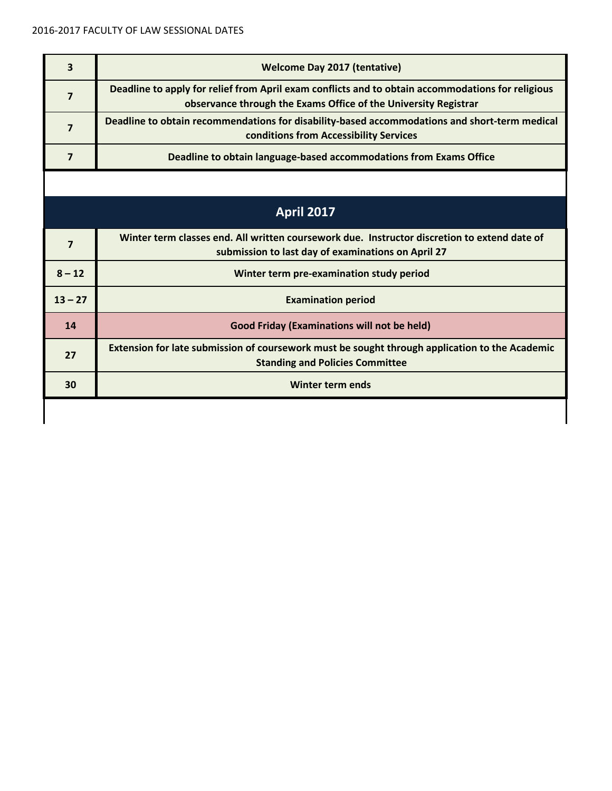| 3              | <b>Welcome Day 2017 (tentative)</b>                                                                                                                                  |  |  |
|----------------|----------------------------------------------------------------------------------------------------------------------------------------------------------------------|--|--|
| $\overline{7}$ | Deadline to apply for relief from April exam conflicts and to obtain accommodations for religious<br>observance through the Exams Office of the University Registrar |  |  |
| $\overline{7}$ | Deadline to obtain recommendations for disability-based accommodations and short-term medical<br>conditions from Accessibility Services                              |  |  |
| $\overline{7}$ | Deadline to obtain language-based accommodations from Exams Office                                                                                                   |  |  |
|                |                                                                                                                                                                      |  |  |
|                | <b>April 2017</b>                                                                                                                                                    |  |  |
| $\overline{7}$ | Winter term classes end. All written coursework due. Instructor discretion to extend date of<br>submission to last day of examinations on April 27                   |  |  |
| $8 - 12$       | Winter term pre-examination study period                                                                                                                             |  |  |
| $13 - 27$      | <b>Examination period</b>                                                                                                                                            |  |  |
| 14             | <b>Good Friday (Examinations will not be held)</b>                                                                                                                   |  |  |
| 27             | Extension for late submission of coursework must be sought through application to the Academic<br><b>Standing and Policies Committee</b>                             |  |  |
| 30             | <b>Winter term ends</b>                                                                                                                                              |  |  |
|                |                                                                                                                                                                      |  |  |